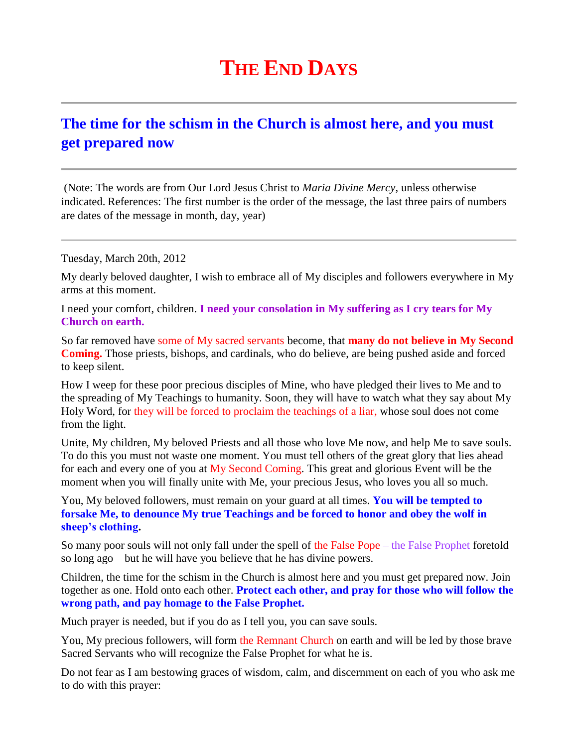## **THE END DAYS**

## **[The time for the schism in the Church is almost here, and you must](http://www.thewarningsecondcoming.com/the-time-for-the-schism-in-the-church-is-almost-here-and-you-must-get-prepared-now/)  [get prepared now](http://www.thewarningsecondcoming.com/the-time-for-the-schism-in-the-church-is-almost-here-and-you-must-get-prepared-now/)**

(Note: The words are from Our Lord Jesus Christ to *Maria Divine Mercy*, unless otherwise indicated. References: The first number is the order of the message, the last three pairs of numbers are dates of the message in month, day, year)

Tuesday, March 20th, 2012

My dearly beloved daughter, I wish to embrace all of My disciples and followers everywhere in My arms at this moment.

I need your comfort, children. **I need your consolation in My suffering as I cry tears for My Church on earth.**

So far removed have some of My sacred servants become, that **many do not believe in My Second Coming.** Those priests, bishops, and cardinals, who do believe, are being pushed aside and forced to keep silent.

How I weep for these poor precious disciples of Mine, who have pledged their lives to Me and to the spreading of My Teachings to humanity. Soon, they will have to watch what they say about My Holy Word, for they will be forced to proclaim the teachings of a liar, whose soul does not come from the light.

Unite, My children, My beloved Priests and all those who love Me now, and help Me to save souls. To do this you must not waste one moment. You must tell others of the great glory that lies ahead for each and every one of you at My Second Coming. This great and glorious Event will be the moment when you will finally unite with Me, your precious Jesus, who loves you all so much.

You, My beloved followers, must remain on your guard at all times. **You will be tempted to forsake Me, to denounce My true Teachings and be forced to honor and obey the wolf in sheep's clothing.**

So many poor souls will not only fall under the spell of the False Pope – the False Prophet foretold so long ago – but he will have you believe that he has divine powers.

Children, the time for the schism in the Church is almost here and you must get prepared now. Join together as one. Hold onto each other. **Protect each other, and pray for those who will follow the wrong path, and pay homage to the False Prophet.**

Much prayer is needed, but if you do as I tell you, you can save souls.

You, My precious followers, will form the Remnant Church on earth and will be led by those brave Sacred Servants who will recognize the False Prophet for what he is.

Do not fear as I am bestowing graces of wisdom, calm, and discernment on each of you who ask me to do with this prayer: